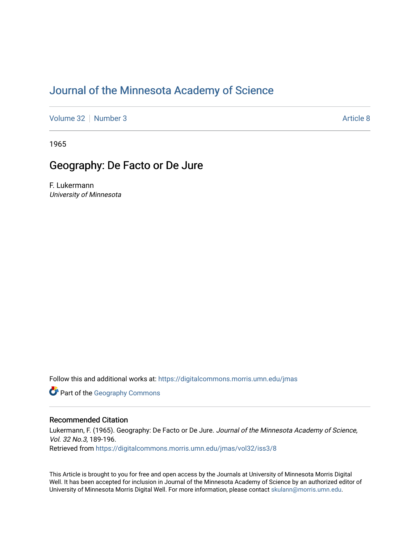# [Journal of the Minnesota Academy of Science](https://digitalcommons.morris.umn.edu/jmas)

[Volume 32](https://digitalcommons.morris.umn.edu/jmas/vol32) [Number 3](https://digitalcommons.morris.umn.edu/jmas/vol32/iss3) [Article 8](https://digitalcommons.morris.umn.edu/jmas/vol32/iss3/8) Article 8 Article 8 Article 8 Article 8 Article 8 Article 8 Article 8 Article 8 A

1965

# Geography: De Facto or De Jure

F. Lukermann University of Minnesota

Follow this and additional works at: [https://digitalcommons.morris.umn.edu/jmas](https://digitalcommons.morris.umn.edu/jmas?utm_source=digitalcommons.morris.umn.edu%2Fjmas%2Fvol32%2Fiss3%2F8&utm_medium=PDF&utm_campaign=PDFCoverPages) 

**Part of the Geography Commons** 

## Recommended Citation

Lukermann, F. (1965). Geography: De Facto or De Jure. Journal of the Minnesota Academy of Science, Vol. 32 No.3, 189-196. Retrieved from [https://digitalcommons.morris.umn.edu/jmas/vol32/iss3/8](https://digitalcommons.morris.umn.edu/jmas/vol32/iss3/8?utm_source=digitalcommons.morris.umn.edu%2Fjmas%2Fvol32%2Fiss3%2F8&utm_medium=PDF&utm_campaign=PDFCoverPages)

This Article is brought to you for free and open access by the Journals at University of Minnesota Morris Digital Well. It has been accepted for inclusion in Journal of the Minnesota Academy of Science by an authorized editor of University of Minnesota Morris Digital Well. For more information, please contact [skulann@morris.umn.edu](mailto:skulann@morris.umn.edu).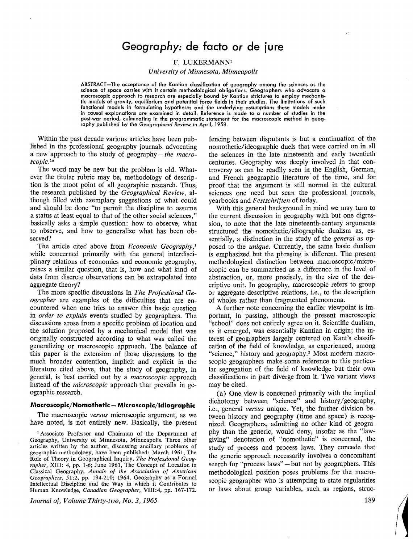# *Geography:* **de facto** *or* **de jure**

### F. **LUKERMANN1**

*University of Minnesota, Minneapolis* 

ABSTRACT-The acceptance of the Kantian classification of geography among the sciences as the science of space carries with it certain methodological obligations. Geographers who advocate a macroscopic approach to research are especially bound by Kantian strictures to employ mechanistic models of gravity, equilibrium and potential force fields in their studies. The limitations of such functional models in formulating hypotheses and the underlying assumptions these models make in causal explanations are examined in detail. Reference is made to a number of studies in the post-war period, culminating in the programmatic statement for the macroscopic method in geography published by the *Geographical* Review in April, 1958.

Within the past decade various articles have been published in the professional geography journals advocating a new approach to the study of geography – *the macroscopic.1n* 

The word may be new but the problem is old. Whatever the titular rubric may be, methodology of description is the moot point of all geographic research. Thus, the research published by the *Geographical Review,* although filled with exemplary suggestions of what could and should be done "to permit the discipline to assume a status at least equal to that of the other social sciences," basically asks a simple question: how to observe, what to observe, and how to generalize what has been observed?

The article cited above from *Economic Geography,'*  while concerned primarily with the general interdisciplinary relations of economics and economic geography, raises a similar question, that is, how and what kind of data from discrete observations can be extrapolated into aggregate theory?

The more specific discussions in *The Professional Geographer* are examples of the difficulties that are encountered when one tries to answer this basic question in *order to explain* events studied by geographers. The discussions arose from a specific problem of location and the solution proposed by a mechanical model that was originally constructed according to what was called the generalizing or macroscopic approach. The balance of this paper is the extension of those discussions to the much broader contention, implicit and explicit in the literature cited above, that the study of geography, in general, is best carried out by a *macroscopic* approach instead of the *microscopic* approach that prevails in geographic research.

### **Macroscopic/Nomothetic - Microscopic/ldiographic**

The macroscopic *versus* microscopic argument, as we have noted, is not entirely new. Basically, the present

1 Associate Professor and Chairman of the Department of Geography, University of Minnesota, Minneapolis. Three other articles written by the author, discussing ancillary problems of geographic methodology, have been published: March 1961, The Role of Theory in Geographical Inquiry, *The Professional Geographer,* XIII: 4, pp. 1-6; June 1961, The Concept of Location in Classical Geography, *Annals of the Association of American Geographers,* 51:2, pp. 194-210; 1964, Geography as a Formal Intellectual Discipline and the Way in which it Contributes to Human Knowledge, *Canadian Geographer,* VIII:4, pp. 167-172.

*Journal of, Volume Thirty-two, No. 3, 1965* 

fencing between disputants is but a continuation of the nomothetic/ideographic duels that were carried on in all the sciences in the late nineteenth and early twentieth centuries. Geography was deeply involved in that controversy as can be readily seen in the English, German, and French geographic literature of the time, and for proof that the argument is still normal in the cultural sciences one need but scan the professional journals, yearbooks and *F estschrif ten* of today.

With this general background in mind we may turn to the current discussion in geography with but one digression, to note that the late nineteenth-century arguments structured the · nomothetic/idiographic dualism as, essentially, a distinction in the study of the *general* as opposed to the *unique.* Currently, the same basic dualism is emphasized but the phrasing is different. The present methodological distinction between macroscopic/microscopic can be summarized as a difference in the level of abstraction, or, more precisely, in the size of the descriptive unit. In geography, macroscopic refers to group or aggregate descriptive relations, i.e., to the description of wholes rather than fragmented phenomena.

A further note concerning the earlier viewpoint is important, in passing, although the present macroscopic "school" does not entirely agree on it. Scientific dualism, as it emerged, was essentially Kantian in origin; the interest of geographers largely centered on Kant's classification of the field of knowledge, as experienced, among "science," history and geography.<sup>2</sup> Most modern macroscopic geographers make some reference to this particular segregation of the field of knowledge but their own classifications in part diverge from it. Two variant views may be cited.

(a) One view is concerned primarily with the implied dichotomy between "science" and history/geography, i.e., general *versus* unique. Yet, the further division between history and geography ( time and space) is recognized. Geographers, admitting no other kind of geography than the generic, would deny, insofar as the "lawgiving" denotation of "nomothetic" is concerned, the study of process and process laws. They concede that the generic approach necessarily involves a concomitant search for "process laws" - but not by geographers. This methodological position poses problems for the macroscopic geographer who is attempting to state regularities or laws about group variables, such as regions, struc-

189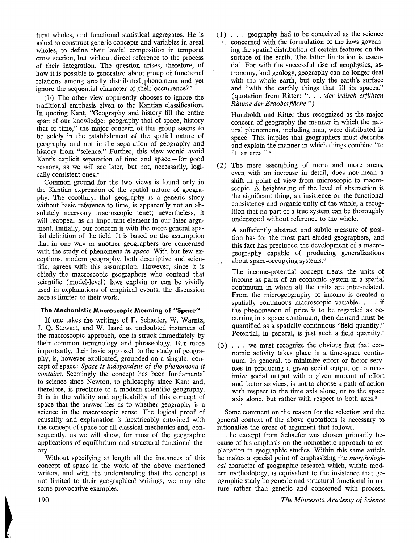tural wholes, and functional statistical aggregates. He is asked to construct generic concepts and variables in areal wholes, to define their lawful composition in temporal cross section, but without direct reference to the process of their integration. The question arises, therefore, of how it is possible to generalize about group or functional relations among areally distributed. phenomena and yet ignore the sequential character of their occurrence?<sup>3</sup>

(b) The other view apparently chooses to ignore the traditional emphasis given to the Kantian classification. In quoting Kant, "Geography and history fill the entire span of our knowledge: geography that of space, history that of time," the major concern of this group seems to be solely in the establishment of the spatial nature of geography and not in the separation of geography and history from "science." Further, this view would avoid Kant's explicit separation of time and space-for good reasons, as we will see later, but not, necessarily, logically consistent ones. <sup>4</sup>

Common ground for the two views is found only in the Kantian expression of the spatial nature of geography. The corollary, that geography is a generic study without basic reference to time, is apparently not an absolutely necessary macroscopic tenet; nevertheless, it will reappear as an important element in our later argument. Initially, our concern is with the more general spatial definition of the field. It is based on the assumption that in one way or another geographers are concerned with the study of phenomena *in space.* With but few exceptions, modern geography, both descriptive and scientific, agrees with this assumption. However, since it is chiefly the macroscopic geographers who contend that scientific (model-level) laws explain or can be vividly used in explanations of empirical events, the discussion here is limited to their work.

### **The Mechanistic Macroscopic Meaning of "Space"**

If one takes the writings of F. Schaefer, W. Warntz, J. Q. Stewart, and W. Isard as undoubted instances of the macroscopic approach, one is struck immediately by their common terminology and phraseology. But more importantly, their basic approach to the study of geography, is, however explicated, grounded on a singular concept of space: *Space is independent of the phenomena it contains.* Seemingly the concept has been fundamental to science since Newton, to philosophy since Kant and, therefore, is predicate to a modern scientific geography. It is in the validity and applicability of this concept of space that the answer lies as to whether geography is a science in the macroscopic sense. The logical proof of causality and explanation is inextricably entwined with the concept of space for all classical mechanics and, consequently, as we will show, for most of the geographic applications of equilibrium and structural-functional theory.

Without specifying at length all the instances of this concept of space in the work of the above mentioned writers, and with the understanding that the concept is not limited to their geographical writings, we may cite some provocative examples.

( 1) . . . geography had to be conceived as the science , see concerned with the formulation of the laws governing the spatial distribution of certain features on the surface of the earth. The latter limitation is essential. For with the successful rise of geophysics, astronomy, and geology, geography can no longer deal with the whole earth, but only the earth's surface and "with the earthly things that fill its spaces." (quotation from Ritter: ". . . *der irdisch erfüllten Riiume der Erdoberffache.")* 

Humboldt and Ritter thus recognized as the major concern of geography the manner in which the natural phenomena, including man, were distributed in space. This implies that geographers must describe and explain the manner in which things combine "to fill an area."<sup>5</sup>

(2) The mere assembling of more and more areas, even with an increase in detail, does not- mean a shift in point of view from microscopic to macroscopic. A heightening of the level of abstraction is the significant thing, an insistence on the functional consistency and organic unity of the whole, a recogition that no part of a true system can be thoroughly understood without reference to the whole.

A sufficiently abstract and subtle measure of position has for the most part eluded geographers, and this fact has precluded the development of a macrogeography capable of producing generalizations about space-occupying systems. <sup>6</sup>

The income-potential concept treats the units of income as parts of an economic system in a spatial continuum in which all the units are inter-related. From the microgeography of income is created a spatially continuous macroscopic variable. . . . if the phenomenon of price is to be regarded as occurring in a space continuum, then demand must be quantified as a spatially continuous "field quantity." Potential, in general, is just such a field quantity.<sup>7</sup>

( 3) . . . we must recognize the obvious fact that economic activity takes place in a time-space continuum. In general, to minimize effort or factor services in producing a given social output or to maximize social output with a given amount of effort and factor services, is not to choose a path of action with respect to the time axis alone, or to the space axis alone, but rather with respect to both axes.<sup>8</sup>

Some comment on the reason for the selection and the general context of the above quotations is necessary to rationalize the order of argument that follows.

The excerpt from Schaefer was chosen primarily because of his emphasis on the nomothetic approach to explanation in geographic studies. Within this same article he makes a special point of emphasizing the *morphological* character of geographic research which, within modern methodology, is equivalent to the insistence that geographic study be generic and structural-functional in nature rather than genetic and concerned with process.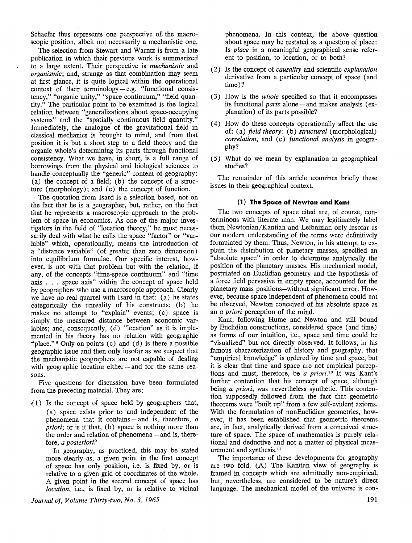Schaefer thus represents one perspective of. the macroscopic position, albeit not necessarily a mechanistic one.

The selection from Stewart and Warntz is from a late publication in which their previous work is summarized to a large extent. Their perspective is *mechanistic* and *organismic;* and, strange as that combination may seem at first glance, it is quite logical within the operational context of their terminology  $-e.g.$  "functional consistency," "organic unity," "space continuum," "field quantity." The particular point to be examined is the logical relation between "generalizations about space-occupying systems" and the "spatially continuous field quantity." Immediately, the analogue of the gravitational field in classical mechanics is brought to mind, and from that position it is but a short step to a field theory and the organic whole's determining its parts through functional consistency. What we have, in short, is a full range of borrowings from the physical and biological sciences to handle conceptually the "generic" content of geography: (a) the concept of a field; (b) the concept of a structure (morphology); and (c) the concept of function.

The quotation from Isard is a selection based, not on the fact that he is a geographer, but, rather, on the fact that he represents a macroscopic approach to the problem of space in economics. As one of the major investigators in the field of "location theory," he must necessarily deal with what he calls the space "factor" or "variable" which, operationally, means the introduction of a "distance variable" ( of greater than zero dimension) into equilibrium formulae. Our specific interest, however, is not with that problem but with the relation, if any, of the concepts "time-space continuum" and "time axis . . . space axis" within the concept of space held by geographers who use a macroscopic approach. Clearly we have no real quarrel with Isard in that: (a) he states categorically the unreality of his constructs; (b) he makes no attempt to "explain" events; (c) space is simply the measured distance between economic variables; and, consequently, (d) "location" as it is implemented in his theory has no relation with geographic "place."  $\theta$  Only on points (c) and (d) is there a possible geographic issue and then only insofar as we suspect that the mechanistic geographers are not capable of dealing with geographic location either  $-$  and for the same reasons.

Five questions for discussion have been formulated from the preceding material. They are:

( 1) Is the concept of space held by geographers that, (a) space exists prior to and independent of the phenomena that it contains - and is, therefore, *a priori*; or is it that, (b) space is nothing more than the order and relation of phenomena - and is, therefore, *a posteriori?* 

In geography, as practiced, this may be stated more clearly as, a given point in the first concept of space has only position, i.e. is fixed by, or is relative to a given grid of coordinates of the whole. A given point in the second concept of space has *location, i.e., is fixed by, or is relative to vicinal* 

*Journal of, Volume Thirty-two, No. 3, 1965* 

phenomena. In this context, the above question about space may be restated as a question of place: Is *place* in a meaningful geographical sense referent to position, to location, or to both?

- (2) Is the concept of *causality* and scientific *explanation*  derivative from a particular concept of space (and time)?
- ( 3) How is the *whole* specified so that it encompasses its functional *parts* alone - and makes analysis (explanation) of its parts possible?
- ( 4) How do these concepts operationally affect the use of: (a) *field theory:* (b) *structural* (morphological) *correlation,* and ( c) *functional analysis* in geography?
- ( 5) What do we mean by explanation in geographical studies?

The remainder of this article examines briefly these issues in their geographical context.

### **(1) The Space of Newton and Kant**

The two concepts of space cited are, of course, conterminous with literate man. We may legitimately label them Newtonian/Kantian and Leibnizian only insofar as our modem understanding of the terms were definitively formulated by them. Thus, Newton, in his attempt to explain the distribution of planetary masses, specified an "absolute space" in order to determine analytically the position of the planetary masses. His mechanical model, postulated on Euclidian geometry and the hypothesis of a force field pervasive in empty space, accounted for the planetary mass positions-without significant error. However, because space independent of phenomena could not be observed, Newton conceived of his absolute space as an *a priori* perception of the mind.

Kant, following Hume and Newton and still bound by Euclidian constructions, considered space ( and time) as forms of our intuition, Le., space and time could be "visualized" but not directly observed. It follows, in his famous characterization of history and geography, that "empirical knowledge" is ordered by time and space, but it is clear that time and space are not empirical perceptions and must, therefore, be *a priori*.<sup>10</sup> It was Kant's further contention that his concept of space, although being *a priori,* was nevertheless synthetic. This contention supposedly followed from the fact that geometric theorems were "built up" from a few self-evident axioms. With the formulation of nonEuclidian geometries, however, it has been established that geometric theorems are, in fact, analytically derived from a conceived structure of space. The space of mathematics is purely relational and deductive and not a matter of physical measurement and synthesis.<sup>11</sup>

The importance of these developments for geography are two fold. (A) The Kantian view of geography is framed in concepts which are admittedly non-empirical, but, nevertheless, are considered to be nature's direct language. The mechanical model of the universe is con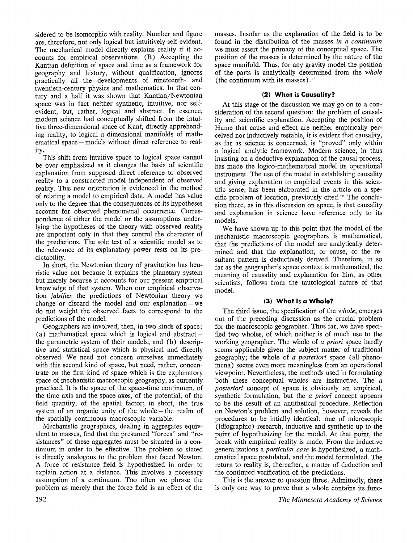sidered to be isomorphic with reality. Number and figure are, therefore, not only logical but intuitively self-evident. The mechanical model directly explains reality if it accounts for empirical observations. (B) Accepting the Kantian definition of space and time as a framework for geography and history, without qualification, ignores practically all the developments of nineteenth- and twentieth-century physics and mathematics. In that century and a half it was shown that Kantian/Newtonian space was in fact neither synthetic, intuitive, nor selfevident, but, rather, logical and abstract. In essence, modern science had conceptually shifted from the intuitive three-dimensional space of Kant, directly apprehending reality, to logical n-dimensional manifolds of mathematical space – models without direct reference to reality.

This shift from intuitive space to logical space cannot be over emphasized as it changes the basis of scientific explanation from supposed direct reference to observed reality to a constructed model independent of observed reality. This new orientation is evidenced in the method of relating a model to empirical data. A model has value only to the degree that the consequences of its hypotheses account for observed phenomenal occurrence. Correspondence of either the model or the assumptions underlying the hypotheses of the theory with observed reality are important only in that they control the character of the predictions. The sole test of a scientific model as to the relevance of its explanatory power rests on its predictability.

In short, the Newtonian theory of gravitation has heuristic value not because it explains the planetary system but merely because it accounts for our present empirical knowledge of that system. When our empirical observation *falsifies* the predictions of Newtonian theory we change or discard the model and our explanation  $-$  we do not weight the observed facts to correspond to the predictions of the model.

Geographers are involved, then, in two kinds of space: (a) mathematical space which is logical and abstract  $$ the parametric system of their models; and (b) descriptive and statistical space which is physical and directly observed. We need not concern ourselves immediately with this second kind of space, but need, rather, concentrate on the first kind of space which is the explanatory space of mechanistic macroscopic geography, as currently practiced. It is the space of the space-time continuum, of the time axis and the space axes, of the potential, of the field quantity, of the spatial factor; in short, the true system of an organic unity of the whole  $-$  the realm of the spatially continuous macroscopic variable.

Mechanistic geographers, dealing in aggregates equivalent to masses, find that the presumed "forces" and "resistances" of these aggregates must be situated in a continuum in order to be effective. The problem so stated is directly analogous to the problem that faced Newton. A force of resistance field is hypothesized in order to explain action at a distance. This involves a necessary assumption of a continuum. Too often we phrase the problem as merely that the force field is an effect of the

192

masses. Insofar as the explanation of the field is to be found in the distribution of the masses *in a continuum*  we must assert the primacy of the conceptual space. The position of the masses is determined by the nature of the space manifold. Thus, for any gravity model the position of the parts is analytically determined from the *whole*  ( the continuum with its masses). $12$ 

# **(2) What is Causality?**

At this stage of the discussion we may go on to a consideration of the second question: the problem of causality and scientific explanation. Accepting the position of Hume that cause and effect are neither empirically perceived nor inductively testable, it is evident that causality, as far as science is concerned, is "proved" only within a logical analytic framework. Modern science, in thus insisting on a deductive explanation of the causal process, has made the logico-mathematical model its operational instrument. The use of the model in establishing causality and giving explanation to empirical events in this scientific sense, has been elaborated in the article on a specific problem of location, previously cited. 13 The conclusion there, as in this discussion on space, is that causality and explanation in science have reference only to its models.

We have shown up to this point that the model of the mechanistic macroscopic geographers is mathematical, that the predictions of the model are analytically determined and that the explanation, or cause, of the resultant pattern is deductively derived. Therefore, in so far as the geographer's space context is mathematical, the meaning of causality and explanation for him, as other scientists, follows from the tautological nature of that model.

# **(3) What is a Whole?**

The third issue, the specification of the *whole,* emerges out of the preceding discussion as the crucial problem for the macroscopic geographer. Thus far, we have specified two wholes, of which neither is of much use to the working geographer. The whole of *a priori* space hardly seems applicable given the subject matter of traditional geography; the whole of *a posteriori* space (all phenomena) seems even more meaningless from an operational viewpoint. Nevertheless, the methods used in formulating both these conceptual wholes are instructive. The *a posteriori* concept of space is obviously an empirical, synthetic formulation, but the *a priori* concept appears to be the result of an antithetical procedure. Reflection on Newton's problem and solution, however, reveals the procedures to be intially identical: one of microscopic (idiographic) research, inductive and synthetic up to the point of hypothesizing for the model. At that point, the break with empirical reality is made. From the inductive generalizations a *particular case* is hypothesized, a mathematical space postulated, and the model formulated. The return to reality is, thereafter, a matter of deduction and the continued verification of the predictions.

This is the answer to question three. Admittedly, there is only one way to prove that a whole contains its func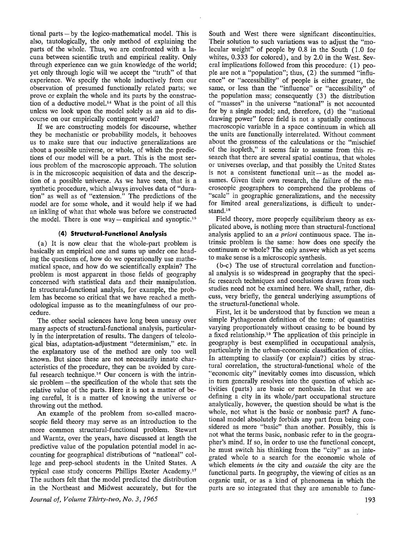tional parts  $-$  by the logico-mathematical model. This is also, tautologically, the only method of explaining the parts of the whole. Thus, we are confronted with a lacuna between scientific truth and empirical reality. Only through experience can we gain knowledge of the world; yet only through logic will we accept the "truth" of that experience. We specify the whole inductively from our observation of presumed functionally related parts; we prove or explain the whole and its parts by the construction of a deductive model.14 What is the point of all this unless we look upon the model solely as an aid to discourse on our empirically contingent world?

If we are constructing models for discourse, whether they be mechanistic or probability models, it behooves us to make sure that our inductive generalizations are about a possible universe, or whole, of which the predictions of our model will be a part. This is the most serious problem of the macroscopic approach. The solution is in the microscopic acquisition of data and the description of a possible universe. As we have seen, that is a synthetic procedure, which always involves data of "duration" as well as of "extension." The predictions of the model are for some whole, and it would help if we had an inkling of what that whole was before we constructed the model. There is one way  $-$  empirical and synoptic.<sup>15</sup>

### **(4) Structural-Functional Analysis**

(a) It is now clear that the whole-part problem is basically an empirical one and sums up under one heading the questions of, how do we operationally use mathematical space, and how do we scientifically explain? The problem is most apparent in those fields of geography concerned with statistical data and their manipulation. In structural-functional analysis, for example, the problem has become so critical that we have reached a methodological impasse as to the meaningfulness of our procedure.

The other social sciences have long been uneasy over many aspects of structural-functional analysis, particularly in the interpretation of results. The dangers of teleological bias, adaptation-adjustment "determinism," etc. in the explanatory use of the method are only too well known. But since these are not necessarily innate characteristics of the procedure, they can be avoided by careful research technique.<sup>16</sup> Our concern is with the intrinsic problem – the specification of the whole that sets the relative value of the parts. Here it is not a matter of being careful, it is a matter of knowing the universe or throwing out the method.

An example of the problem from so-called macroscopic field theory may serve as an introduction to the more common structural-functional problem. Stewart and Warntz, over the years, have discussed at length the predictive value of the population potential model in accounting for geographical distributions of "national" college and prep-school students in the United States. A typical case study concerns Phillips Exeter Academy.<sup>17</sup> The authors felt that the model predicted the distribution in the Northeast and Midwest accurately, but for the South and West there were significant discontinuities. Their solution to such variations was to adjust the "molecular weight" of people by 0.8 in the South ( 1.0 for whites, 0.333 for colored), and by 2.0 in the West. Several implications followed from this procedure: (1) people are not a "population"; thus, (2) the summed "influence" or "accessibility" of people is either greater, the same, or less than the "influence" or "accessibility" of the population mass; consequently ( 3) the distribution of "masses" in the universe "national" is not accounted for by a single model; and, therefore, (d) the "national drawing power" force field is not a spatially continuous macroscopic variable in a space continuum in which all the units are functionally interrelated. Without comment about the grossness of the calculations or the "mischief of the isopleth," it seems fair to assume from this research that there are several spatial continua, that wholes or universes overlap, and that possibly the United States is not a consistent functional unit  $-\text{as}$  the model assumes. Given their own research, the failure of the macroscopic geographers to comprehend the problems of "scale" in geographic generalizations, and the necessity for limited areal generalizations, is difficult to understand.<sup>18</sup>

Field theory, more properly equilibrium theory as explicated above, is nothing more than structural-functional analysis applied to an *a priori* continuous space. The intrinsic problem is the same: how does one specify the continuum or whole? The only answer which as yet seems to make sense is a microscopic synthesis.

(b-c) The use of structural correlation and functional analysis is so widespread in geography that the specific research techniques and conclusions drawn from such studies need not be examined here. We shall, rather, discuss, very briefly, the general underlying assumptions of the structural-functional whole.

First, let it be understood that by function we mean a simple Pythagorean definition of the term: of quantities varying proportionately without ceasing to be bound by a fixed relationship.<sup>19</sup> The application of this principle in geography is best exemplified in occupational analysis, particularly in the urban-economic classification of cities. In attempting to classify ( or explain?) cities by structural correlation, the structural-functional whole of the "economic city" inevitably comes into discussion, which in tum generally resolves into the question of which activities (parts) are basic or nonbasic. In that we are defining a city in its whole/part occupational structure analytically, however, the question should be what is the whole, not what is the basic or nonbasic part? A functional model absolutely forbids any part from being considered as more "basic" than another. Possibly, this is not what the terms basic, nonbasic refer to in the geographer's mind. If so, in order to use the functional concept, he must switch his thinking from the "city" as an integrated whole to a search for the economic whole of which elements *in* the city and *outside* the city are the functional parts. In geography, the viewing of cities as an organic unit, or as a kind of phenomena in which the parts are so integrated that they are amenable to func-

*Journal of, Volume Thirty-two, No. 3, 1965*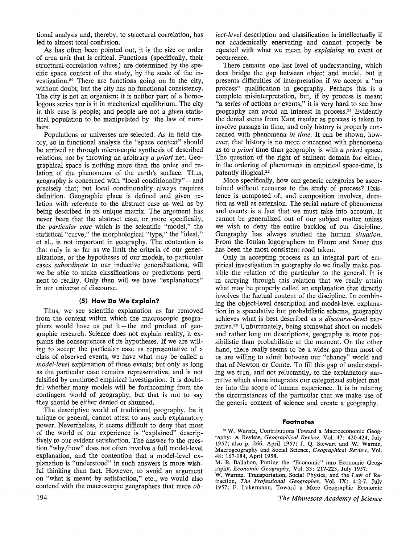tional analysis and, thereby, to structural correlation, has led to almost total confusion.

As has often been pointed out, it is the size or order of area unit that is critical. Functions (specifically, their structural-correlation values) are determined by the specific space context of the study, by the scale of the investigation.<sup>20</sup> There are functions going on in the city, without doubt, but the city has no functional consistency. The city is not an organism; it is neither part of a homologous series nor is it in mechanical equilibrium. The city in this case is people; and people are not a *given* statistical population to be manipulated by the law of numbers.

Populations or universes are selected. As in field theory, so in functional analysis the "space context" should be arrived at through microscopic synthesis of described relations, not by throwing an arbitrary *a priori* net. Geographical space is nothing more than the order and relation of the phenomena of the earth's surface. Thus, geography is concerned with "local conditionality"  $-$  and precisely that; but local conditionality always requires definition. Geographic place is defined and given relation with reference to the abstract case as well as by being described in its unique matrix. The argument has never been that the abstract case, or more specifically, the *particular case* which is the scientific "model," the statistical "curve," the morphological "type," the "ideal," et al., is not important in geography. The contention is that only in so far as we limit the criteria of our generalizations, or the hypotheses of our models, to particular cases *subordinate* to our inductive generalizations, will we be able to make classifications or predictions pertinent to reality. Only then will we have "explanations" in our universe of discourse.

### **(5) How Do We Explain?**

Thus, we see scientific explanation as far removed from the context within which the macroscopic geographers would have us put it  $-$  the end product of geographic research. Science does not explain reality, it explains the consequences of its hypotheses. If we are willing to accept the particular case as representative of a class of observed events, we have what may be called a *rnodel-level* explanation of those events; but only as long as the particular case remains representative, and is not falsified by continued empirical investigation. It is doubtful whether many models will be forthcoming from the contingent world of geography, but that is not to say they should be either denied or shunned.

The descriptive world of traditional geography, be it unique or general, cannot attest to any such explanatory power. Nevertheless, it seems difficult to deny that most of the world of our experience is "explained" descriptively to our evident satisfaction. The answer to the question "why /how" does not often involve a full model-level explanation, and the contention that a model-level explanation is "understood" in such answers is more wishful thinking than fact. However, to avoid an argument on "what is meant by satisfaction," etc., we would also contend with the macroscopic geographers that mere *ob-*

 $\bar{z}$ 

*ject-level* description and classification is intellectually if not academically enervating and cannot properly be equated with what we mean by *explaining* an event or occurrence.

There remains one last level of understanding, which does bridge the gap between object and model, but it presents difficulties of interpretation if we accept a "no process" qualification in geography. Perhaps this is a complete misinterpretation, but, if by process is meant "a series of actions or events," it is very hard to see how geography can avoid an interest in process.<sup>21</sup> Evidently the denial stems from Kant insofar as process is taken to involve passage in time, and only history is properly concerned with phenomena *in time.* It can be shown, however, that history is no more concerned with phenomena as to *a priori* time than geography is with *a priori* space. The question of the right of eminent domain for either, in the ordering of phenomena in empirical space-time, is patently illogical.<sup>22</sup>

More specifically, how can generic categories be ascertained without recourse to the study of process? Existence is composed of, and composition involves, duration as well as extension. The serial nature of phenomena and events is a fact that we must take into account. It cannot be generalized out of our subject matter unless we wish to deny the entire backlog of our discipline. Geography has always studied the human *situation.*  From the Ionian logographers to Fleure and Sauer this has been the most consistent road taken.

Only in accepting process as an integral part of empirical investigation in geography do we finally make possible the relation of the particular to the general. It is in carrying through this relation that we really attain what may be properly called an explanation that directly involves the factual content of the discipline. In combining the object-level description and model-level explanation in a speculative but probabilistic schema, geography achieves what is best described as a *discourse-level* narrative.<sup>23</sup> Unfortunately, being somewhat short on models and rather long on descriptions, geography is more possibilistic than probabilistic at the moment. On the other hand, there really seems to be a wider gap than most of us are willing to admit between our "chancy" world and that of Newton or Comte. To fill this gap of understanding we turn, and not reluctantly, to the explanatory narrative which alone integrates our categorized subject matter into the scope of human experience. It is in relating the circumstances of the particular that we make use of the generic content of science and create a geography.

### **Footnotes**

<sup>1a</sup> W. Warntz, Contributions Toward a Macroeconomic Geography: A Review, *Geographical Review,* Vol. 47: 420-424, July 1957; also p. 266, April 1957; J. Q. Stewart and W. Warntz, Macrogeography and Social Science, *Geographical Review,* Vol. 48: 167-184, April 1958.

M. B. Ballabon, Putting the "Economic" into Economic Geography, *Economic Geography,* Vol. 33: 217-223, July 1957.

W. Warntz, Transportation, Social Physics, and the Law of Refraction, *The Professional Geographer,* Vol. IX: 4:2-7, July 1957; F. Lukermann, Toward a More Geographic Economic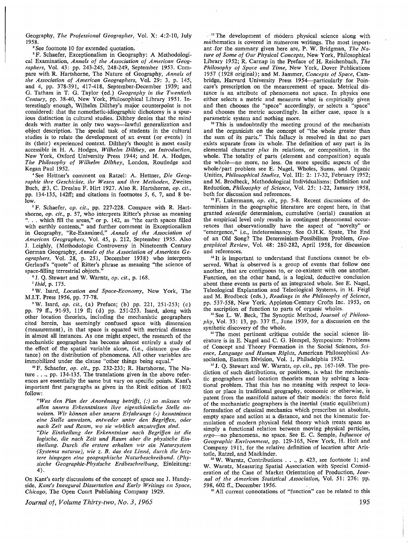Geography, *The Professional Geographer,* Vol. X: 4:2-10, July 1958.

<sup>2</sup> See footnote 10 for extended quotation.

<sup>3</sup> F. Schaefer, Exceptionalism in Geography: A Methodological Examination, *Annals of the Association of American Geographers,* Vol. 43: pp. 243-245, 248-249, September 1953. Compare with R. Hartshorne, The Nature of Geography, *Annals of the Association of American Geographers,* Vol. 29: 3, p. 145; and 4, pp. 378-391, 417-418, September-December 1939; and G. Tatham in T. G. Taylor (ed.) *Geography in the Twentieth Century,* pp. 38-40, New York, Philosophical Library 1951. Interestingly enough, Wilhelm Dilthey's major counterpoint is not considered: that the nomothetic-idiographic dichotomy is a spurious distinction in cultural studies. Dilthey denies that the mind deals with matter in only two ways—lawful generalization and object description. The special task of students in the cultural studies is to relate the development of an event ( or events) in its (their) experienced context. Dilthey's thought is most easily accessible in H. A. Hodges, *Wilhelm Dilthey, an Introduction,*  New York, Oxford University Press 1944; and H. A. Hodges, *The Philosophy of Wilhelm Dilthey,* London, Routledge and Kegan Paul 1952.

• See He'ttner's comment on Ratzel: A. Hettner, *Die Geographie ihre Geschichte, ihr Wesen und ihre Methoden,* Zweites Buch, #3, C. Dreslau F. Hirt 1927. Also R. Hartshorne, *op. cit.,*  pp. 134-135, 142ff; and citations in footnotes 5, 6, 7, and 8 below.

5 F. Schaefer, *op. cit.,* pp. 227-228. Compare with R. Hartshorne, *op. cit.,* p. 57, who interprets Ritter's phrase as meaning "... which fill the areas," or p. 142, as "the earth spaces filled with earthly contents," and further comment in Exceptionalism in Geography, "Re-Examined," *Annals of the Association of American Geographers;* Vol. 45, p. 212, September 1955. Also J. Leighly, (Methodologic Controversy in Nineteenth Century German Geography, *Annals of the Association of American Geographers,* Vol. 28, p. 251, December 1938) who interprets Gerland's "quote" of Ritter's phrase as meaning "the science of space-filling terrestrial objects."

• J. Q. Stewart and **W.** Warntz, *op. cit.,* p. 168.

• *Ibid,* p. 175.

**<sup>8</sup> W.** Isard, *Location and Space-Economy,* New York, The **M.I.T.** Press 1956, pp. 77-78.

**<sup>0</sup> W.** Isard, *op. cit.,* (a) Preface; (b) pp. 221, 251-253; (c) pp. 79 ff., 91-93, 119 ff; (d) pp. 251-253. Isard, along with other location theorists, including the mechanistic geographers cited herein, has seemingly confused space with dimension (measurement), in that space is equated with metrical distance in almost all instances. As one might expect, the research of the mechanistic geographers has become almost entirely a study of the effect of the spatial variable alone, (i.e., distance *qua* distance) on the distribution of phenomena. All other variables are immobilized under the clause "other things being equal."

<sup>10</sup> F. Schaefer, *op. cit.*, pp. 232-233; R. Hartshorne, The Nature ... , pp. 134-135. The translations given in the above references are essentially the same but vary on specific points. Kant's important first paragraphs as given in the Rink edition of 1802 follow:

*"Was den Plan der Anordnung betrifjt, (:) so miissen wir a/len unsem Erkenntnissen ihre eigenthiimliche Stelle anweisen. Wir konnen aber unsern Erfahrungs (-) kenntnissen eine Stelle amveisen, entweder unter den Begrifjen, oder nach Zeit und Raum, wo sie wirklich anzutrefjen sind.* 

*"Die Eintheilung der Erkenntnisse nach Begrifjen ist die logische, die nach Zeit und Raum aber die physische Eintheilung. Durch die erstere erhalten wir ein Natursystem (Systema naturae), wie z. B. das des Linne, durch die letztere hingegen eine geographische Naturbeschreibund. (Physische Geographie-Physische Erdbeschreibung,* Einleitung: 4).

On Kant's early discussions of the concept of space see J. Handyside, *Kant's Inaugural Dissertation and Early Writings on Space, Chicago,* The Open Court Publishing Company 1929.

*Journal of, Volume Thirty-two, No. 3, 1965* 

<sup>11</sup> The development of modern physical science along with mathematics is covered in numerous writings. The most important for the summary given here are, P. W. Bridgman, *The Nature of Some of Our Physical Concepts,* New York, Philosophical Library 1952; R. Carnap in the Preface of H. Reichenbach, *The Philosophy of Space and Time,* New York, Dover Publications 1957 ( 1928 original); and M. Jammer, *Concepts of Space,* Cambridge, Harvard University Press 1954-particularly for Poincare's prescription on the measurement of space. Metrical distance is an attribute of phenomena not space. In physics one either selects a metric and measures what is empirically given and then chooses the "space" accordingly, or selects a "space" and chooses the metric accordingly. In either case, space is a parametric system and nothing more.

<sup>12</sup>This is undoubtedly the meeting ground of the mechanists and the organicists on the concept of "the whole greater than the sum of its parts." This fallacy is resolved in that no part exists separate from its whole. The definition of any part is its elemental character *plus* its relations, or composition, in the whole. The totality of parts (element and composition) equals the whole-no more, no less. On more specific aspects of the whole/part problem see E. Nagel, Wholes, Sums, and Organic Unities, *Philosophical Studies,* Vol. III: 2: 17-32, February 1952; and M. Brodbeck, Methodological Individualisms: Definition and Reduction, *Philosophy of Science,* Vol. 25: 1-22, January 1958,

<sup>13</sup> F. Lukermann, *op. cit.*, pp. 5-8. Recent discussions of determinism in the geographic literature are cogent here, in that granted *scientific* determinism, cumulative (serial) causation at the empirical level only results in contingent phenomenal occurrences that observationally have the aspect of "novelty" or "emergence," i.e., indeterminancy. See O.H.K. Spate, The End of an Old Song? The Determinism-Possibilism Problem, *Geographical Review,* Vol. 48: 280-282, April 1958, for discussion and references.

 $14$  It is important to understand that functions cannot be observed. What is observed is a group of events that follow one another, that are contiguous to, or co-existent with one another. Function, on the other hand, is a logical, deductive conclusion about these events as parts of an integrated whole. See E. Nagel, Teleological Explanation and Teleological Systems, in H. Feig! and M. Brodbeck (eds.), *Readings in the Philosophy of Science,*  pp. 537-558, New York, Appleton-Century Crofts Inc. 1953, on the ascription of function to parts of organic wholes.

<sup>15</sup>See L. W. Beck, The Synoptic Method, *Journal of Philoso-* . *phy,* Vol. 33: 13, pp. 337 ff., June 1939, for a discussion on the synthetic discovery of the whole.

<sup>16</sup> The most pertinent critique outside the social science literature is in E. Nagel and C. G. Hempel, Symposium: Problems of Concept and Theory Formation in the Social Sciences, *Science, Language and Human Rights,* American Philosophical As-

<sup>17</sup> J. O. Stewart and W. Warntz, *op. cit.*, pp. 167-169. The prediction of such distributions, or positions, is what the mechanistic geographers and location theorists mean by solving a locational problem. That this has no meaning with respect to location or place in traditional geography, economic or otherwise, is patent from the manifold nature of their models: the force field of the mechanistic geographers is the inertial (static equilibrium) formulation of classical mechanics which prescribes an absolute, empty space and action at a distance, and not the kinematic formulation of modern physical field theory which treats space as simply a functional relation between moving physical particles, *ergo-no* phenomena, no space. See E. C. Semple, *Influence of Geographic Environment,* pp. 129-165, New York, H. Holt and Company 1911, for the relative definition of location after Aristotle, Ratzel, and Mackinder. 18 **W.** Warntz, Contributions ... , p. 423, see footnote 1; and

**W.** Warntz, Measuring Spatial Association with Special Consideration of the Case of Market Orientation of Production, *Journal of the American Statistical Association,* Vol. 51: 276: pp. 598, 602 ff., December 1956.

<sup>10</sup> All current connotations of "function" can be related to this